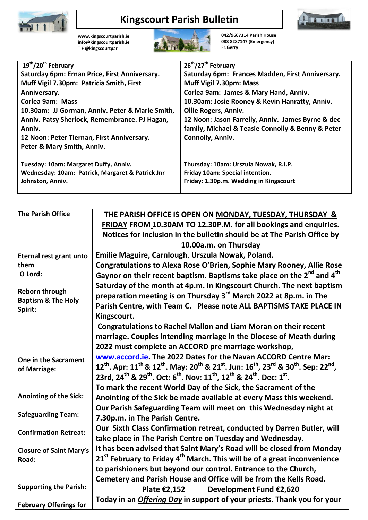

## **Kingscourt Parish Bulletin**



**[www.kingscourtparish.ie](http://www.kingscourtparish.ie/) info@kingscourtparish.ie T F @kingscourtpar** 



**042/9667314 Parish House 083 8287147 (Emergency) Fr.Gerry**

| $19^{th}/20^{th}$ February                       | 26 <sup>th</sup> /27 <sup>th</sup> February       |
|--------------------------------------------------|---------------------------------------------------|
| Saturday 6pm: Ernan Price, First Anniversary.    | Saturday 6pm: Frances Madden, First Anniversary.  |
| Muff Vigil 7.30pm: Patricia Smith, First         | Muff Vigil 7.30pm: Mass                           |
| Anniversary.                                     | Corlea 9am: James & Mary Hand, Anniv.             |
| <b>Corlea 9am: Mass</b>                          | 10.30am: Josie Rooney & Kevin Hanratty, Anniv.    |
| 10.30am: JJ Gorman, Anniv. Peter & Marie Smith,  | <b>Ollie Rogers, Anniv.</b>                       |
| Anniv. Patsy Sherlock, Remembrance. PJ Hagan,    | 12 Noon: Jason Farrelly, Anniv. James Byrne & dec |
| Anniv.                                           | family, Michael & Teasie Connolly & Benny & Peter |
| 12 Noon: Peter Tiernan, First Anniversary.       | Connolly, Anniv.                                  |
| Peter & Mary Smith, Anniv.                       |                                                   |
|                                                  |                                                   |
| Tuesday: 10am: Margaret Duffy, Anniv.            | Thursday: 10am: Urszula Nowak, R.I.P.             |
| Wednesday: 10am: Patrick, Margaret & Patrick Jnr | Friday 10am: Special intention.                   |
| Johnston, Anniv.                                 | Friday: 1.30p.m. Wedding in Kingscourt            |
|                                                  |                                                   |

| <b>The Parish Office</b>                 | THE PARISH OFFICE IS OPEN ON MONDAY, TUESDAY, THURSDAY &                                                                                                                                       |
|------------------------------------------|------------------------------------------------------------------------------------------------------------------------------------------------------------------------------------------------|
|                                          | FRIDAY FROM 10.30AM TO 12.30P.M. for all bookings and enquiries.                                                                                                                               |
|                                          | Notices for inclusion in the bulletin should be at The Parish Office by                                                                                                                        |
|                                          | 10.00a.m. on Thursday                                                                                                                                                                          |
| <b>Eternal rest grant unto</b>           | Emilie Maguire, Carnlough, Urszula Nowak, Poland.                                                                                                                                              |
| them                                     | Congratulations to Alexa Rose O'Brien, Sophie Mary Rooney, Allie Rose                                                                                                                          |
| O Lord:                                  | Gaynor on their recent baptism. Baptisms take place on the 2 <sup>nd</sup> and 4 <sup>th</sup>                                                                                                 |
|                                          | Saturday of the month at 4p.m. in Kingscourt Church. The next baptism                                                                                                                          |
| <b>Reborn through</b>                    | preparation meeting is on Thursday 3 <sup>rd</sup> March 2022 at 8p.m. in The                                                                                                                  |
| <b>Baptism &amp; The Holy</b><br>Spirit: | Parish Centre, with Team C. Please note ALL BAPTISMS TAKE PLACE IN                                                                                                                             |
|                                          | Kingscourt.                                                                                                                                                                                    |
|                                          | <b>Congratulations to Rachel Mallon and Liam Moran on their recent</b>                                                                                                                         |
|                                          | marriage. Couples intending marriage in the Diocese of Meath during                                                                                                                            |
|                                          | 2022 must complete an ACCORD pre marriage workshop,                                                                                                                                            |
| One in the Sacrament                     | www.accord.ie. The 2022 Dates for the Navan ACCORD Centre Mar:                                                                                                                                 |
| of Marriage:                             | 12 <sup>th</sup> . Apr: 11 <sup>th</sup> & 12 <sup>th</sup> . May: 20 <sup>th</sup> & 21 <sup>st</sup> . Jun: 16 <sup>th</sup> , 23 <sup>rd</sup> & 30 <sup>th</sup> . Sep: 22 <sup>nd</sup> , |
|                                          | 23rd, 24 <sup>th</sup> & 29 <sup>th</sup> . Oct: 6 <sup>th</sup> . Nov: 11 <sup>th</sup> , 12 <sup>th</sup> & 24 <sup>th</sup> . Dec: 1 <sup>st</sup> .                                        |
|                                          | To mark the recent World Day of the Sick, the Sacrament of the                                                                                                                                 |
| Anointing of the Sick:                   | Anointing of the Sick be made available at every Mass this weekend.                                                                                                                            |
|                                          | Our Parish Safeguarding Team will meet on this Wednesday night at                                                                                                                              |
| <b>Safeguarding Team:</b>                | 7.30p.m. in The Parish Centre.                                                                                                                                                                 |
| <b>Confirmation Retreat:</b>             | Our Sixth Class Confirmation retreat, conducted by Darren Butler, will                                                                                                                         |
|                                          | take place in The Parish Centre on Tuesday and Wednesday.                                                                                                                                      |
| <b>Closure of Saint Mary's</b>           | It has been advised that Saint Mary's Road will be closed from Monday                                                                                                                          |
| Road:                                    | 21 <sup>st</sup> February to Friday 4 <sup>th</sup> March. This will be of a great inconvenience                                                                                               |
|                                          | to parishioners but beyond our control. Entrance to the Church,                                                                                                                                |
|                                          | Cemetery and Parish House and Office will be from the Kells Road.                                                                                                                              |
| <b>Supporting the Parish:</b>            | Plate €2,152<br>Development Fund €2,620                                                                                                                                                        |
| <b>February Offerings for</b>            | Today in an Offering Day in support of your priests. Thank you for your                                                                                                                        |
|                                          |                                                                                                                                                                                                |